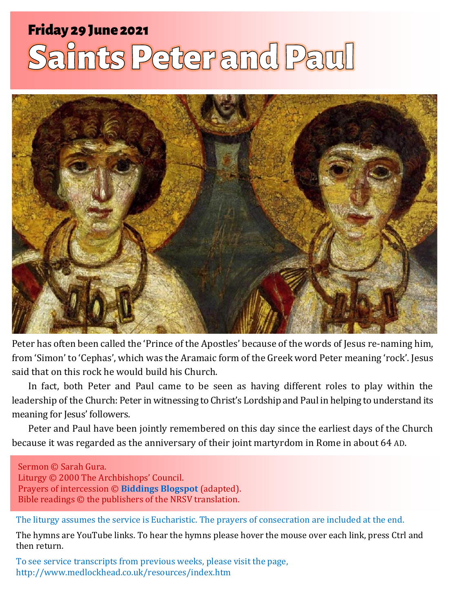# Tuesday 29 June 2021 1 **Saints Peter and Paul** Friday 29 June 2021



Peter has often been called the 'Prince of the Apostles' because of the words of Jesus re-naming him, from 'Simon' to 'Cephas', which was the Aramaic form of the Greek word Peter meaning 'rock'. Jesus said that on this rock he would build his Church.

In fact, both Peter and Paul came to be seen as having different roles to play within the leadership of the Church: Peter in witnessing to Christ's Lordship and Paul in helping to understand its meaning for Jesus' followers.

Peter and Paul have been jointly remembered on this day since the earliest days of the Church because it was regarded as the anniversary of their joint martyrdom in Rome in about 64 AD.

Sermon © Sarah Gura. Liturgy © 2000 The Archbishops' Council. Prayers of intercession © **[Biddings Blogspot](https://biddings.blogspot.com/2008/07/ss-peter-and-st-paul.html)** (adapted). Bible readings © the publishers of the NRSV translation.

The liturgy assumes the service is Eucharistic. The prayers of consecration are included at the end.

The hymns are YouTube links. To hear the hymns please hover the mouse over each link, press Ctrl and then return.

To see service transcripts from previous weeks, please visit the page, <http://www.medlockhead.co.uk/resources/index.htm>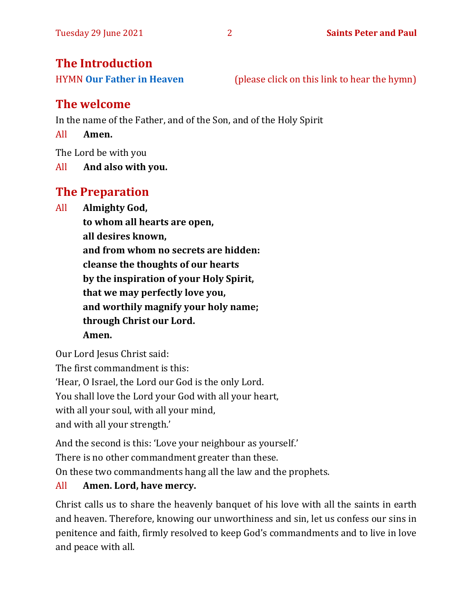# **The Introduction**

HYMN **[Our Father in Heaven](https://www.youtube.com/watch?v=3IGN6Fq_mlU)** (please click on this link to hear the hymn)

# **The welcome**

In the name of the Father, and of the Son, and of the Holy Spirit

All **Amen.**

The Lord be with you

All **And also with you.**

# **The Preparation**

All **Almighty God,**

**to whom all hearts are open, all desires known, and from whom no secrets are hidden: cleanse the thoughts of our hearts by the inspiration of your Holy Spirit, that we may perfectly love you, and worthily magnify your holy name; through Christ our Lord. Amen.**

Our Lord Jesus Christ said:

The first commandment is this: 'Hear, O Israel, the Lord our God is the only Lord. You shall love the Lord your God with all your heart, with all your soul, with all your mind, and with all your strength.'

And the second is this: 'Love your neighbour as yourself.' There is no other commandment greater than these. On these two commandments hang all the law and the prophets.

## All **Amen. Lord, have mercy.**

Christ calls us to share the heavenly banquet of his love with all the saints in earth and heaven. Therefore, knowing our unworthiness and sin, let us confess our sins in penitence and faith, firmly resolved to keep God's commandments and to live in love and peace with all.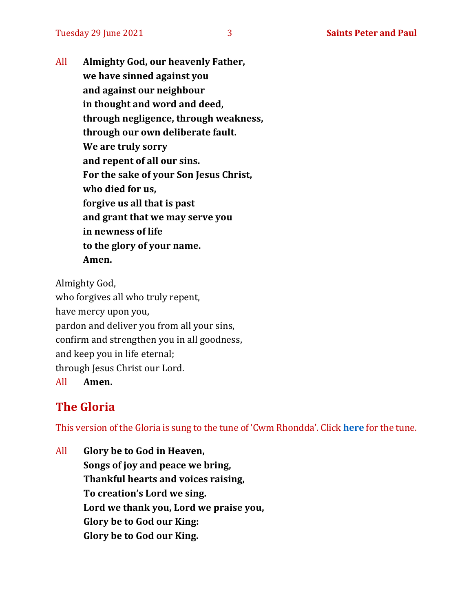All **Almighty God, our heavenly Father, we have sinned against you and against our neighbour in thought and word and deed, through negligence, through weakness, through our own deliberate fault. We are truly sorry and repent of all our sins. For the sake of your Son Jesus Christ, who died for us, forgive us all that is past and grant that we may serve you in newness of life to the glory of your name. Amen.**

Almighty God,

who forgives all who truly repent, have mercy upon you, pardon and deliver you from all your sins, confirm and strengthen you in all goodness, and keep you in life eternal; through Jesus Christ our Lord. All **Amen.**

# **The Gloria**

This version of the Gloria is sung to the tune of 'Cwm Rhondda'. Click **[here](https://www.youtube.com/watch?v=BtGhnEwY74E)** for the tune.

All **Glory be to God in Heaven, Songs of joy and peace we bring, Thankful hearts and voices raising, To creation's Lord we sing. Lord we thank you, Lord we praise you, Glory be to God our King: Glory be to God our King.**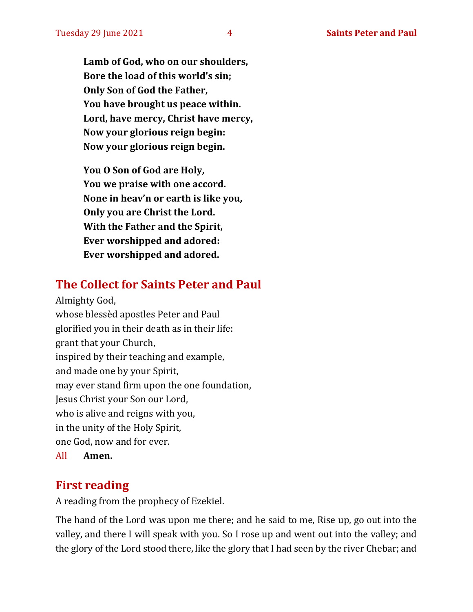**Lamb of God, who on our shoulders, Bore the load of this world's sin; Only Son of God the Father, You have brought us peace within. Lord, have mercy, Christ have mercy, Now your glorious reign begin: Now your glorious reign begin.**

**You O Son of God are Holy, You we praise with one accord. None in heav'n or earth is like you, Only you are Christ the Lord. With the Father and the Spirit, Ever worshipped and adored: Ever worshipped and adored.**

# **The Collect for Saints Peter and Paul**

Almighty God, whose blessèd apostles Peter and Paul glorified you in their death as in their life: grant that your Church, inspired by their teaching and example, and made one by your Spirit, may ever stand firm upon the one foundation, Jesus Christ your Son our Lord, who is alive and reigns with you, in the unity of the Holy Spirit, one God, now and for ever. All **Amen.**

# **First reading**

A reading from the prophecy of Ezekiel.

The hand of the Lord was upon me there; and he said to me, Rise up, go out into the valley, and there I will speak with you. So I rose up and went out into the valley; and the glory of the Lord stood there, like the glory that I had seen by the river Chebar; and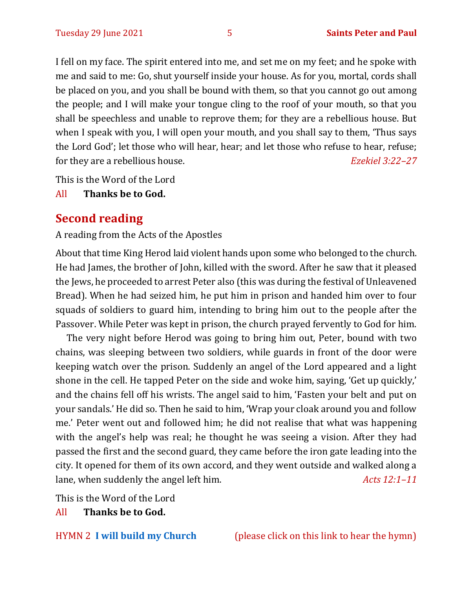I fell on my face. The spirit entered into me, and set me on my feet; and he spoke with me and said to me: Go, shut yourself inside your house. As for you, mortal, cords shall be placed on you, and you shall be bound with them, so that you cannot go out among the people; and I will make your tongue cling to the roof of your mouth, so that you shall be speechless and unable to reprove them; for they are a rebellious house. But when I speak with you, I will open your mouth, and you shall say to them, 'Thus says the Lord God'; let those who will hear, hear; and let those who refuse to hear, refuse; for they are a rebellious house. *Ezekiel 3:22–27*

This is the Word of the Lord

All **Thanks be to God.**

#### **Second reading**

A reading from the Acts of the Apostles

About that time King Herod laid violent hands upon some who belonged to the church. He had James, the brother of John, killed with the sword. After he saw that it pleased the Jews, he proceeded to arrest Peter also (this was during the festival of Unleavened Bread). When he had seized him, he put him in prison and handed him over to four squads of soldiers to guard him, intending to bring him out to the people after the Passover. While Peter was kept in prison, the church prayed fervently to God for him.

The very night before Herod was going to bring him out, Peter, bound with two chains, was sleeping between two soldiers, while guards in front of the door were keeping watch over the prison. Suddenly an angel of the Lord appeared and a light shone in the cell. He tapped Peter on the side and woke him, saying, 'Get up quickly,' and the chains fell off his wrists. The angel said to him, 'Fasten your belt and put on your sandals.' He did so. Then he said to him, 'Wrap your cloak around you and follow me.' Peter went out and followed him; he did not realise that what was happening with the angel's help was real; he thought he was seeing a vision. After they had passed the first and the second guard, they came before the iron gate leading into the city. It opened for them of its own accord, and they went outside and walked along a lane, when suddenly the angel left him. *Acts 12:1–11*

This is the Word of the Lord

All **Thanks be to God.**

HYMN 2 **[I will build my Church](https://www.youtube.com/watch?v=wUv4RUUKyDA)** (please click on this link to hear the hymn)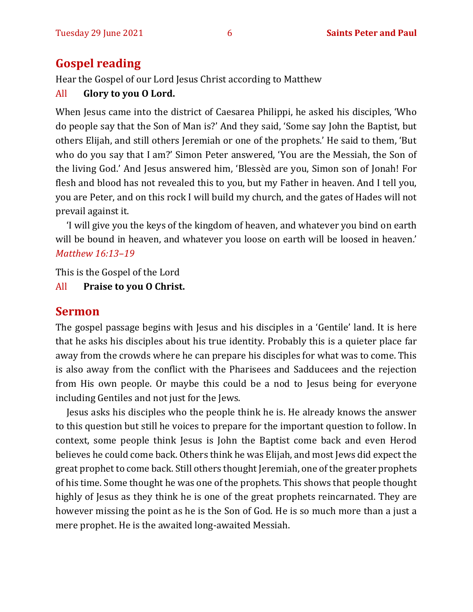# **Gospel reading**

Hear the Gospel of our Lord Jesus Christ according to Matthew

#### All **Glory to you O Lord.**

When Jesus came into the district of Caesarea Philippi, he asked his disciples, 'Who do people say that the Son of Man is?' And they said, 'Some say John the Baptist, but others Elijah, and still others Jeremiah or one of the prophets.' He said to them, 'But who do you say that I am?' Simon Peter answered, 'You are the Messiah, the Son of the living God.' And Jesus answered him, 'Blessèd are you, Simon son of Jonah! For flesh and blood has not revealed this to you, but my Father in heaven. And I tell you, you are Peter, and on this rock I will build my church, and the gates of Hades will not prevail against it.

'I will give you the keys of the kingdom of heaven, and whatever you bind on earth will be bound in heaven, and whatever you loose on earth will be loosed in heaven.' *Matthew 16:13–19*

This is the Gospel of the Lord

#### All **Praise to you O Christ.**

#### **Sermon**

The gospel passage begins with Jesus and his disciples in a 'Gentile' land. It is here that he asks his disciples about his true identity. Probably this is a quieter place far away from the crowds where he can prepare his disciples for what was to come. This is also away from the conflict with the Pharisees and Sadducees and the rejection from His own people. Or maybe this could be a nod to Jesus being for everyone including Gentiles and not just for the Jews.

Jesus asks his disciples who the people think he is. He already knows the answer to this question but still he voices to prepare for the important question to follow. In context, some people think Jesus is John the Baptist come back and even Herod believes he could come back. Others think he was Elijah, and most Jews did expect the great prophet to come back. Still others thought Jeremiah, one of the greater prophets of his time. Some thought he was one of the prophets. This shows that people thought highly of Jesus as they think he is one of the great prophets reincarnated. They are however missing the point as he is the Son of God. He is so much more than a just a mere prophet. He is the awaited long-awaited Messiah.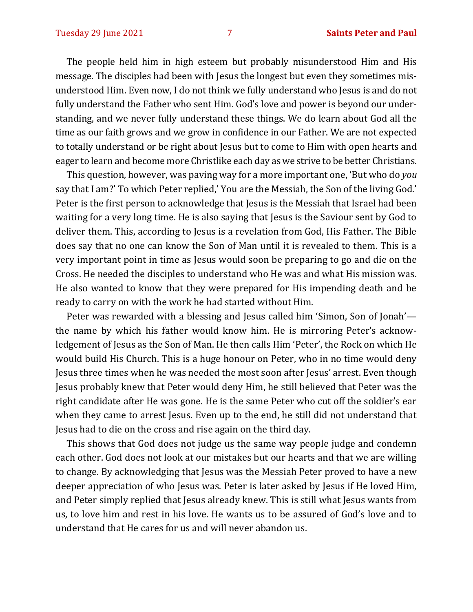The people held him in high esteem but probably misunderstood Him and His message. The disciples had been with Jesus the longest but even they sometimes misunderstood Him. Even now, I do not think we fully understand who Jesus is and do not fully understand the Father who sent Him. God's love and power is beyond our understanding, and we never fully understand these things. We do learn about God all the time as our faith grows and we grow in confidence in our Father. We are not expected to totally understand or be right about Jesus but to come to Him with open hearts and eager to learn and become more Christlike each day as we strive to be better Christians.

This question, however, was paving way for a more important one, 'But who do *you* say that I am?' To which Peter replied,' You are the Messiah, the Son of the living God.' Peter is the first person to acknowledge that Jesus is the Messiah that Israel had been waiting for a very long time. He is also saying that Jesus is the Saviour sent by God to deliver them. This, according to Jesus is a revelation from God, His Father. The Bible does say that no one can know the Son of Man until it is revealed to them. This is a very important point in time as Jesus would soon be preparing to go and die on the Cross. He needed the disciples to understand who He was and what His mission was. He also wanted to know that they were prepared for His impending death and be ready to carry on with the work he had started without Him.

Peter was rewarded with a blessing and Jesus called him 'Simon, Son of Jonah' the name by which his father would know him. He is mirroring Peter's acknowledgement of Jesus as the Son of Man. He then calls Him 'Peter', the Rock on which He would build His Church. This is a huge honour on Peter, who in no time would deny Jesus three times when he was needed the most soon after Jesus' arrest. Even though Jesus probably knew that Peter would deny Him, he still believed that Peter was the right candidate after He was gone. He is the same Peter who cut off the soldier's ear when they came to arrest Jesus. Even up to the end, he still did not understand that Jesus had to die on the cross and rise again on the third day.

This shows that God does not judge us the same way people judge and condemn each other. God does not look at our mistakes but our hearts and that we are willing to change. By acknowledging that Jesus was the Messiah Peter proved to have a new deeper appreciation of who Jesus was. Peter is later asked by Jesus if He loved Him, and Peter simply replied that Jesus already knew. This is still what Jesus wants from us, to love him and rest in his love. He wants us to be assured of God's love and to understand that He cares for us and will never abandon us.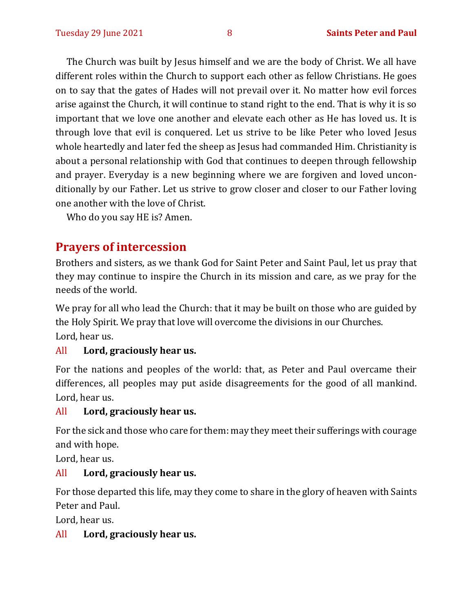The Church was built by Jesus himself and we are the body of Christ. We all have different roles within the Church to support each other as fellow Christians. He goes on to say that the gates of Hades will not prevail over it. No matter how evil forces arise against the Church, it will continue to stand right to the end. That is why it is so important that we love one another and elevate each other as He has loved us. It is through love that evil is conquered. Let us strive to be like Peter who loved Jesus whole heartedly and later fed the sheep as Jesus had commanded Him. Christianity is about a personal relationship with God that continues to deepen through fellowship and prayer. Everyday is a new beginning where we are forgiven and loved unconditionally by our Father. Let us strive to grow closer and closer to our Father loving one another with the love of Christ.

Who do you say HE is? Amen.

# **Prayers of intercession**

Brothers and sisters, as we thank God for Saint Peter and Saint Paul, let us pray that they may continue to inspire the Church in its mission and care, as we pray for the needs of the world.

We pray for all who lead the Church: that it may be built on those who are guided by the Holy Spirit. We pray that love will overcome the divisions in our Churches. Lord, hear us.

#### All **Lord, graciously hear us.**

For the nations and peoples of the world: that, as Peter and Paul overcame their differences, all peoples may put aside disagreements for the good of all mankind. Lord, hear us.

#### All **Lord, graciously hear us.**

For the sick and those who care for them: may they meet their sufferings with courage and with hope.

Lord, hear us.

#### All **Lord, graciously hear us.**

For those departed this life, may they come to share in the glory of heaven with Saints Peter and Paul.

Lord, hear us.

#### All **Lord, graciously hear us.**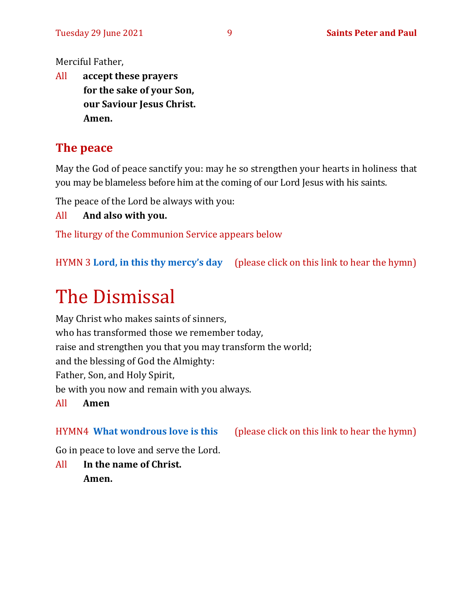Merciful Father,

All **accept these prayers for the sake of your Son, our Saviour Jesus Christ. Amen.**

# **The peace**

May the God of peace sanctify you: may he so strengthen your hearts in holiness that you may be blameless before him at the coming of our Lord Jesus with his saints.

The peace of the Lord be always with you:

All **And also with you.**

The liturgy of the Communion Service appears below

HYMN 3 **Lord, in this [thy mercy's day](https://www.youtube.com/watch?v=Q26PBpAdYxE)** (please click on this link to hear the hymn)

# The Dismissal

May Christ who makes saints of sinners, who has transformed those we remember today, raise and strengthen you that you may transform the world; and the blessing of God the Almighty: Father, Son, and Holy Spirit, be with you now and remain with you always. All **Amen** 

#### HYMN4 **[What wondrous love is this](https://www.youtube.com/watch?v=eBtaO_kGrBs)** (please click on this link to hear the hymn)

Go in peace to love and serve the Lord.

All **In the name of Christ. Amen.**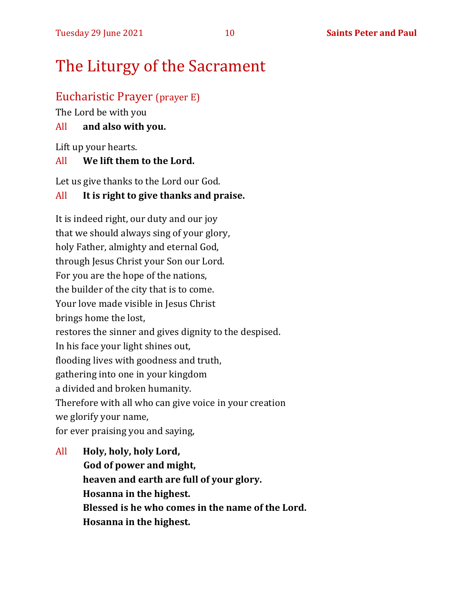# The Liturgy of the Sacrament

#### Eucharistic Prayer (prayer E)

The Lord be with you

#### All **and also with you.**

Lift up your hearts.

#### All **We lift them to the Lord.**

Let us give thanks to the Lord our God.

#### All **It is right to give thanks and praise.**

It is indeed right, our duty and our joy that we should always sing of your glory, holy Father, almighty and eternal God, through Jesus Christ your Son our Lord. For you are the hope of the nations, the builder of the city that is to come. Your love made visible in Jesus Christ brings home the lost, restores the sinner and gives dignity to the despised. In his face your light shines out, flooding lives with goodness and truth, gathering into one in your kingdom a divided and broken humanity. Therefore with all who can give voice in your creation we glorify your name, for ever praising you and saying,

All **Holy, holy, holy Lord, God of power and might, heaven and earth are full of your glory. Hosanna in the highest. Blessed is he who comes in the name of the Lord. Hosanna in the highest.**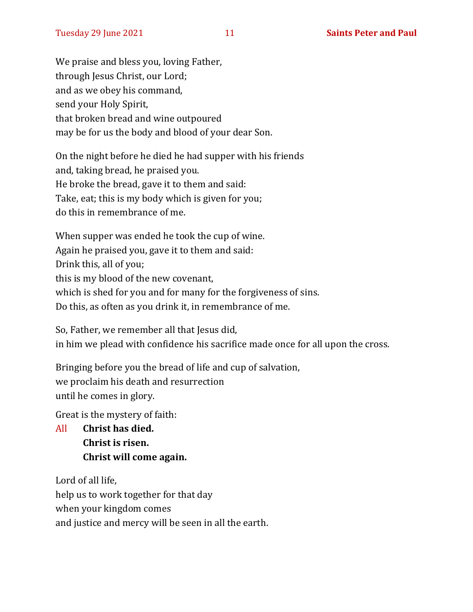We praise and bless you, loving Father, through Jesus Christ, our Lord; and as we obey his command, send your Holy Spirit, that broken bread and wine outpoured may be for us the body and blood of your dear Son.

On the night before he died he had supper with his friends and, taking bread, he praised you. He broke the bread, gave it to them and said: Take, eat; this is my body which is given for you; do this in remembrance of me.

When supper was ended he took the cup of wine. Again he praised you, gave it to them and said: Drink this, all of you; this is my blood of the new covenant, which is shed for you and for many for the forgiveness of sins. Do this, as often as you drink it, in remembrance of me.

So, Father, we remember all that Jesus did, in him we plead with confidence his sacrifice made once for all upon the cross.

Bringing before you the bread of life and cup of salvation, we proclaim his death and resurrection until he comes in glory.

Great is the mystery of faith:

All **Christ has died. Christ is risen. Christ will come again.**

Lord of all life, help us to work together for that day when your kingdom comes and justice and mercy will be seen in all the earth.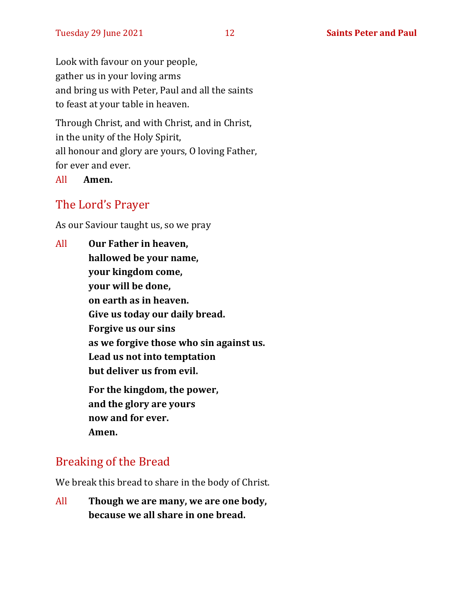Look with favour on your people, gather us in your loving arms and bring us with Peter, Paul and all the saints to feast at your table in heaven.

Through Christ, and with Christ, and in Christ, in the unity of the Holy Spirit, all honour and glory are yours, O loving Father, for ever and ever.

All **Amen.**

# The Lord's Prayer

As our Saviour taught us, so we pray

All **Our Father in heaven, hallowed be your name, your kingdom come, your will be done, on earth as in heaven. Give us today our daily bread. Forgive us our sins as we forgive those who sin against us. Lead us not into temptation but deliver us from evil. For the kingdom, the power, and the glory are yours now and for ever. Amen.**

# Breaking of the Bread

We break this bread to share in the body of Christ.

All **Though we are many, we are one body, because we all share in one bread.**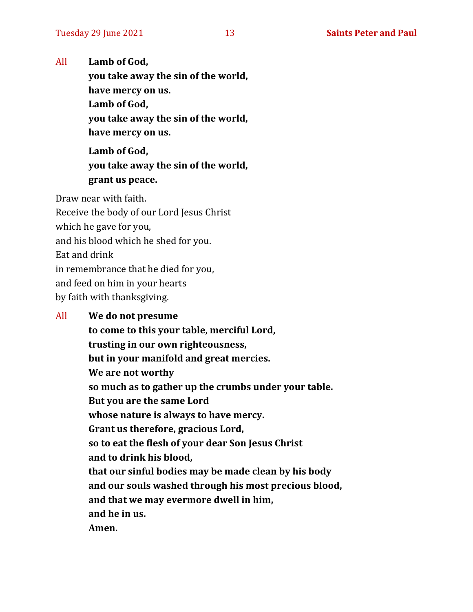All **Lamb of God,**

**you take away the sin of the world, have mercy on us. Lamb of God, you take away the sin of the world, have mercy on us.**

**Lamb of God, you take away the sin of the world, grant us peace.**

Draw near with faith. Receive the body of our Lord Jesus Christ which he gave for you, and his blood which he shed for you. Eat and drink in remembrance that he died for you, and feed on him in your hearts by faith with thanksgiving.

# All **We do not presume to come to this your table, merciful Lord, trusting in our own righteousness, but in your manifold and great mercies. We are not worthy so much as to gather up the crumbs under your table. But you are the same Lord whose nature is always to have mercy. Grant us therefore, gracious Lord, so to eat the flesh of your dear Son Jesus Christ and to drink his blood, that our sinful bodies may be made clean by his body and our souls washed through his most precious blood, and that we may evermore dwell in him, and he in us. Amen.**